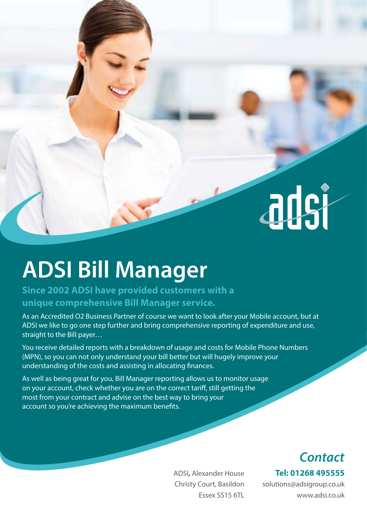

# **ADSI Bill Manager**

### **Since 2002 ADSI have provided customers with a unique comprehensive Bill Manager service.**

As an Accredited O2 Business Partner of course we want to look after your Mobile account, but at ADSI we like to go one step further and bring comprehensive reporting of expenditure and use, straight to the Bill payer…

You receive detailed reports with a breakdown of usage and costs for Mobile Phone Numbers (MPN), so you can not only understand your bill better but will hugely improve your understanding of the costs and assisting in allocating finances.

As well as being great for you, Bill Manager reporting allows us to monitor usage on your account, check whether you are on the correct tariff, still getting the most from your contract and advise on the best way to bring your account so you're achieving the maximum benefits.

### *Contact*

**Tel: 01268 495555**

ADSI**,** Alexander House Christy Court, Basildon Essex SS15 6TL

solutions@adsigroup.co.uk www.adsi.co.uk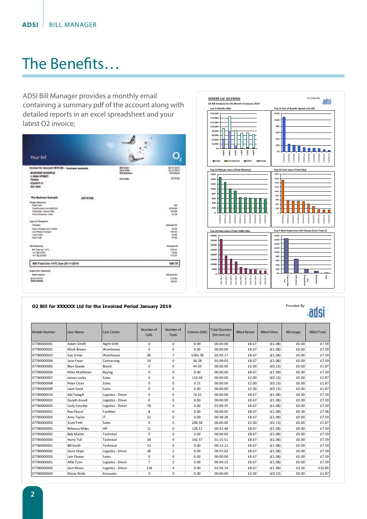## The Benefits…

ADSI Bill Manager provides a monthly email containing a summary pdf of the account along with detailed reports in an excel spreadsheet and your latest O2 invoice;





Provided By

adsi

#### **O2 Bill for XXXXXX Ltd for the Invoiced Period January 2019**

| <b>Mobile Number</b> | <b>User Name</b>     | <b>Cost Centre</b> | Number of<br>Calls | Number of<br><b>Texts</b> | Volume (Mb) | <b>Total Duration</b><br>(hh:mm:ss) | <b>Billed Rental</b> | <b>Billed Other</b> | <b>Bill Usage</b> | <b>Billed Total</b> |
|----------------------|----------------------|--------------------|--------------------|---------------------------|-------------|-------------------------------------|----------------------|---------------------|-------------------|---------------------|
| 07780000001          | Adam Smith           | Night Shift        | $\Omega$           | $\Omega$                  | 0.00        | 00:00:00                            | £8.67                | (E1.08)             | £0.00             | £7.59               |
| 07780000002          | Mark Brown           | Warehouse          | $\mathbf 0$        | $\mathbf 0$               | 0.00        | 00:00:00                            | £8.67                | (E1.08)             | £0.00             | £7.59               |
| 07780000003          | Sue Snow             | Warehouse          | 86                 | $\overline{7}$            | 1283.38     | 02:05:17                            | £8.67                | (E1.08)             | £0.00             | £7.59               |
| 07780000004          | Jane Frver           | Canvassing         | 19                 | 0                         | 36.28       | 01:09:03                            | £8.67                | (E1.08)             | £0.00             | £7.59               |
| 07780000005          | <b>Brvn Goode</b>    | Brand              | 0                  | $\mathbf 0$               | 44.03       | 00:00:00                            | £2.00                | (E0.13)             | £0.00             | £1.87               |
| 07780000006          | Mike Matthews        | Buying             | $\mathbf 0$        | $\mathbf 0$               | 0.00        | 00:00:00                            | £8.67                | (E1.08)             | £0.00             | £7.59               |
| 07780000007          | James Locke          | Sales              | $\mathbf 0$        | 0                         | 110.49      | 00:00:00                            | £2.00                | (E0.13)             | £0.00             | £1.87               |
| 07780000008          | Peter Cryer          | Sales              | $\mathbf 0$        | $\mathbf 0$               | 0.21        | 00:00:00                            | £2.00                | (E0.13)             | £0.00             | £1.87               |
| 07780000009          | Liam Sand            | Sales              | 0                  | $\mathbf 0$               | 0.00        | 00:00:00                            | £2.00                | (E0.13)             | £0.00             | £1.87               |
| 07780000010          | Abi Tatagill         | Logistics - Driver | 0                  | 0                         | 74.61       | 00:00:00                            | £8.67                | (E1.08)             | £0.00             | £7.59               |
| 07780000002          | <b>Gareth Ansell</b> | Logistics - Driver | $\Omega$           | $\mathbf 0$               | 0.00        | 00:00:00                            | £8.67                | (E1.08)             | £0.00             | £7.59               |
| 07780000003          | Carly Smythe         | Logistics - Driver | 78                 | 4                         | 0.00        | 01:09:35                            | £8.67                | (E1.08)             | £0.00             | £7.59               |
| 07780000001          | Rue Pascal           | <b>Facilities</b>  | 8                  | $\Omega$                  | 0.00        | 00:09:05                            | £8.67                | (E1.08)             | £0.39             | £7.98               |
| 07780000002          | Amy Taylor           | IT.                | 51                 | 0                         | 0.00        | 00:38:28                            | £8.67                | (E1.08)             | £0.00             | £7.59               |
| 07780000003          | Scott Firth          | Sales              | 0                  | $\mathbf 0$               | 248.58      | 00:00:00                            | £2.00                | (E0.13)             | £0.00             | £1.87               |
| 07780000001          | Rebecca Miles        | <b>HR</b>          | 11                 | $\mathbf 0$               | 128.11      | 00:31:48                            | £8.67                | (E1.08)             | £0.00             | £7.59               |
| 07780000002          | <b>Bob Martin</b>    | Technical          | 0                  | 0                         | 0.00        | 00:00:00                            | £8.67                | (E1.08)             | £0.00             | £7.59               |
| 07780000003          | Harry Toll           | Technical          | 58                 | 4                         | 142.57      | 01:15:51                            | £8.67                | (E1.08)             | £0.00             | £7.59               |
| 07780000001          | <b>Bill Garth</b>    | Technical          | 13                 | 0                         | 0.00        | 00:13:11                            | £8.67                | (E1.08)             | £0.00             | £7.59               |
| 07780000002          | Dave Hope            | Logistics - Driver | 48                 | $\overline{2}$            | 0.00        | 00:51:02                            | £8.67                | (E1.08)             | £0.00             | £7.59               |
| 07780000003          | <b>Iain Flower</b>   | Sales              | 0                  | 0                         | 0.00        | 00:00:00                            | £8.67                | (E1.08)             | £0.00             | £7.59               |
| 07780000001          | Alfie Tyon           | Logistics - Driver | $\overline{7}$     | $\overline{2}$            | 0.00        | 00:04:12                            | £8.67                | (E1.08)             | £0.00             | £7.59               |
| 07780000002          | Gert Moon            | Logistics - Driver | 118                | 4                         | 0.00        | 02:56:19                            | £8.67                | (E1.08)             | £3.26             | £10.85              |
| 07780000003          | Maria Wells          | <b>Accounts</b>    | 0                  | 0                         | 0.00        | 00:00:00                            | £2.00                | (E0.13)             | £0.00             | £1.87               |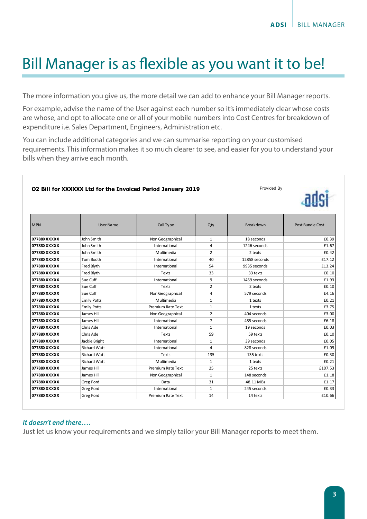### Bill Manager is as flexible as you want it to be!

The more information you give us, the more detail we can add to enhance your Bill Manager reports.

For example, advise the name of the User against each number so it's immediately clear whose costs are whose, and opt to allocate one or all of your mobile numbers into Cost Centres for breakdown of expenditure i.e. Sales Department, Engineers, Administration etc.

You can include additional categories and we can summarise reporting on your customised requirements. This information makes it so much clearer to see, and easier for you to understand your bills when they arrive each month.

#### **O2 Bill for XXXXXX Ltd for the Invoiced Period January 2019**

Provided By



| <b>MPN</b>  | User Name           | Call Type                | Qty            | Breakdown     | Post Bundle Cost |
|-------------|---------------------|--------------------------|----------------|---------------|------------------|
| 07788XXXXXX | John Smith          | Non Geographical         | $\mathbf{1}$   | 18 seconds    | £0.39            |
| 07788XXXXXX | John Smith          | International            | 4              | 1246 seconds  | £1.67            |
| 07788XXXXXX | John Smith          | Multimedia               | $\overline{2}$ | 2 texts       | £0.42            |
| 07788XXXXXX | Tom Booth           | International            | 40             | 12858 seconds | £17.12           |
| 07788XXXXXX | Fred Blyth          | International            | 54             | 9935 seconds  | £13.24           |
| 07788XXXXXX | Fred Blyth          | Texts                    | 33             | 33 texts      | £0.10            |
| 07788XXXXXX | Sue Cuff            | International            | 9              | 1459 seconds  | £1.93            |
| 07788XXXXXX | Sue Cuff            | Texts                    | $\overline{2}$ | 2 texts       | £0.10            |
| 07788XXXXXX | Sue Cuff            | Non Geographical         | 4              | 579 seconds   | £4.16            |
| 07788XXXXXX | <b>Emily Potts</b>  | Multimedia               | $\mathbf{1}$   | 1 texts       | £0.21            |
| 07788XXXXXX | <b>Emily Potts</b>  | Premium Rate Text        | $\mathbf{1}$   | 1 texts       | £3.75            |
| 07788XXXXXX | James Hill          | Non Geographical         | $\overline{2}$ | 404 seconds   | £3.00            |
| 07788XXXXXX | James Hill          | International            | $\overline{7}$ | 485 seconds   | £6.18            |
| 07788XXXXXX | Chris Ade           | International            | $\mathbf{1}$   | 19 seconds    | £0.03            |
| 07788XXXXXX | Chris Ade           | Texts                    | 59             | 59 texts      | £0.10            |
| 07788XXXXXX | Jackie Bright       | International            | $\mathbf{1}$   | 39 seconds    | £0.05            |
| 07788XXXXXX | <b>Richard Watt</b> | International            | 4              | 828 seconds   | £1.09            |
| 07788XXXXXX | <b>Richard Watt</b> | Texts                    | 135            | 135 texts     | £0.30            |
| 07788XXXXXX | <b>Richard Watt</b> | Multimedia               | $\mathbf{1}$   | 1 texts       | £0.21            |
| 07788XXXXXX | James Hill          | <b>Premium Rate Text</b> | 25             | 25 texts      | £107.53          |
| 07788XXXXXX | James Hill          | Non Geographical         | $\mathbf{1}$   | 148 seconds   | £1.18            |
| 07788XXXXXX | Greg Ford           | Data                     | 31             | 48.11 MBs     | £1.17            |
| 07788XXXXXX | Greg Ford           | International            | $\mathbf{1}$   | 245 seconds   | £0.33            |
| 07788XXXXXX | Greg Ford           | <b>Premium Rate Text</b> | 14             | 14 texts      | £10.66           |

#### *It doesn't end there….*

Just let us know your requirements and we simply tailor your Bill Manager reports to meet them.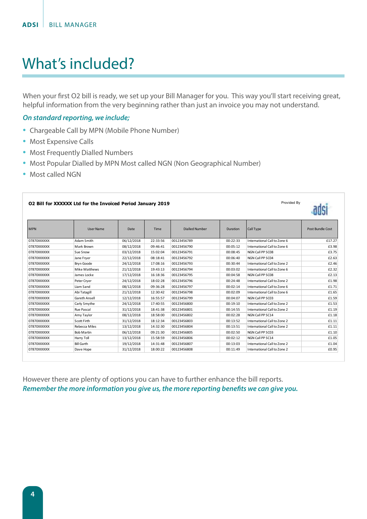## What's included?

When your first O2 bill is ready, we set up your Bill Manager for you. This way you'll start receiving great, helpful information from the very beginning rather than just an invoice you may not understand.

#### *On standard reporting, we include;*

- Chargeable Call by MPN (Mobile Phone Number)
- Most Expensive Calls
- Most Frequently Dialled Numbers
- Most Popular Dialled by MPN Most called NGN (Non Geographical Number)
- Most called NGN

| Provided By<br>02 Bill for XXXXXX Ltd for the Invoiced Period January 2019 |                   |            |          |                       |                 |                              |                  |  |  |
|----------------------------------------------------------------------------|-------------------|------------|----------|-----------------------|-----------------|------------------------------|------------------|--|--|
| <b>MPN</b>                                                                 | <b>User Name</b>  | Date       | Time     | <b>Dialled Number</b> | <b>Duration</b> | Call Type                    | Post Bundle Cost |  |  |
| 07870XXXXXX                                                                | Adam Smith        | 06/12/2018 | 22:33:56 | 00123456789           | 00:22:33        | International Call to Zone 6 | £17.27           |  |  |
| 07870XXXXXX                                                                | Mark Brown        | 08/12/2018 | 09:46:41 | 00123456790           | 00:05:12        | International Call to Zone 6 | £3.98            |  |  |
| 07870XXXXXX                                                                | Sue Snow          | 03/12/2018 | 15:02:04 | 00123456791           | 00:08:45        | NGN Call PP SC08             | £3.75            |  |  |
| 07870XXXXXX                                                                | Jane Fryer        | 22/12/2018 | 08:18:41 | 00123456792           | 00:06:40        | NGN Call PP SC04             | £2.63            |  |  |
| 07870XXXXXX                                                                | <b>Bryn Goode</b> | 24/12/2018 | 17:08:16 | 00123456793           | 00:30:44        | International Call to Zone 2 | £2.46            |  |  |
| 07870XXXXXX                                                                | Mike Matthews     | 21/12/2018 | 19:43:13 | 00123456794           | 00:03:02        | International Call to Zone 6 | £2.32            |  |  |
| 07870XXXXXX                                                                | James Locke       | 17/12/2018 | 16:18:36 | 00123456795           | 00:04:58        | NGN Call PP SC08             | £2.13            |  |  |
| 07870XXXXXX                                                                | Peter Cryer       | 24/12/2018 | 18:02:28 | 00123456796           | 00:24:48        | International Call to Zone 2 | £1.98            |  |  |
| 07870XXXXXX                                                                | Liam Sand         | 08/12/2018 | 09:36:28 | 00123456797           | 00:02:14        | International Call to Zone 6 | £1.71            |  |  |
| 07870XXXXXX                                                                | Abi Tatagill      | 21/12/2018 | 12:30:42 | 00123456798           | 00:02:09        | International Call to Zone 6 | £1.65            |  |  |
| 07870XXXXXX                                                                | Gareth Ansell     | 12/12/2018 | 16:55:57 | 00123456799           | 00:04:07        | NGN Call PP SC03             | £1.59            |  |  |
| 07870XXXXXX                                                                | Carly Smythe      | 24/12/2018 | 17:40:55 | 00123456800           | 00:19:10        | International Call to Zone 2 | £1.53            |  |  |
| 07870XXXXXX                                                                | Rue Pascal        | 31/12/2018 | 18:41:38 | 00123456801           | 00:14:55        | International Call to Zone 2 | £1.19            |  |  |
| 07870XXXXXX                                                                | Amy Taylor        | 08/12/2018 | 18:58:00 | 00123456802           | 00:02:28        | NGN Call PP SC14             | £1.18            |  |  |
| 07870XXXXXX                                                                | Scott Firth       | 31/12/2018 | 18:12:34 | 00123456803           | 00:13:52        | International Call to Zone 2 | £1.11            |  |  |
| 07870XXXXXX                                                                | Rebecca Miles     | 13/12/2018 | 14:32:30 | 00123456804           | 00:13:51        | International Call to Zone 2 | £1.11            |  |  |
| 07870XXXXXX                                                                | <b>Bob Martin</b> | 06/12/2018 | 09:21:30 | 00123456805           | 00:02:50        | NGN Call PP SC03             | £1.10            |  |  |
| 07870XXXXXX                                                                | Harry Toll        | 13/12/2018 | 15:58:59 | 00123456806           | 00:02:12        | NGN Call PP SC14             | £1.05            |  |  |
| 07870XXXXXX                                                                | <b>Bill Garth</b> | 19/12/2018 | 14:31:48 | 00123456807           | 00:13:03        | International Call to Zone 2 | £1.04            |  |  |
| 07870XXXXXX                                                                | Dave Hope         | 31/12/2018 | 18:00:22 | 00123456808           | 00:11:49        | International Call to Zone 2 | £0.95            |  |  |

However there are plenty of options you can have to further enhance the bill reports. *Remember the more information you give us, the more reporting benefits we can give you.*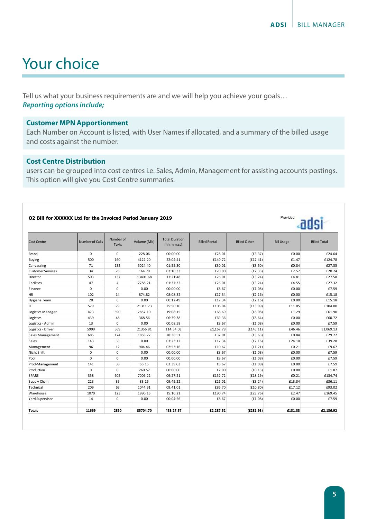### Your choice

Tell us what your business requirements are and we will help you achieve your goals… *Reporting options include;*

#### **Customer MPN Apportionment**

Each Number on Account is listed, with User Names if allocated, and a summary of the billed usage and costs against the number.

#### **Cost Centre Distribution**

users can be grouped into cost centres i.e. Sales, Admin, Management for assisting accounts postings. This option will give you Cost Centre summaries.

#### **O2 Bill for XXXXXX Ltd for the Invoiced Period January 2019**

| 02 Bill for XXXXXX Ltd for the Invoiced Period January 2019 | Provided        |                           |             |                                     |                      |                     |                   |                     |
|-------------------------------------------------------------|-----------------|---------------------------|-------------|-------------------------------------|----------------------|---------------------|-------------------|---------------------|
| <b>Cost Centre</b>                                          | Number of Calls | Number of<br><b>Texts</b> | Volume (Mb) | <b>Total Duration</b><br>(hh:mm:ss) | <b>Billed Rental</b> | <b>Billed Other</b> | <b>Bill Usage</b> | <b>Billed Total</b> |
| Brand                                                       | $\Omega$        | $\mathbf 0$               | 228.06      | 00:00:00                            | £28.01               | (E3.37)             | £0.00             | £24.64              |
| <b>Buying</b>                                               | 500             | 160                       | 4122.20     | 22:04:41                            | £140.72              | (E17.41)            | £1.47             | £124.78             |
| Canvassing                                                  | 71              | 132                       | 5024.40     | 01:55:30                            | £30.01               | (E3.50)             | £0.84             | £27.35              |
| <b>Customer Services</b>                                    | 34              | 28                        | 164.70      | 02:10:33                            | £20.00               | (E2.33)             | £2.57             | £20.24              |
| Director                                                    | 503             | 137                       | 13401.68    | 17:21:48                            | £26.01               | (f3.24)             | £4.81             | £27.58              |
| Facilities                                                  | 47              | 4                         | 2788.21     | 01:37:32                            | £26.01               | (E3.24)             | £4.55             | £27.32              |
| Finance                                                     | $\mathbf 0$     | $\mathbf 0$               | 0.00        | 00:00:00                            | £8.67                | (E1.08)             | £0.00             | £7.59               |
| <b>HR</b>                                                   | 102             | 14                        | 874.82      | 08:08:32                            | £17.34               | (E2.16)             | £0.00             | £15.18              |
| Hygiene Team                                                | 20              | 6                         | 0.00        | 00:12:49                            | £17.34               | (E2.16)             | £0.00             | £15.18              |
| IT                                                          | 529             | 79                        | 21311.73    | 25:50:10                            | £106.04              | (E13.09)            | £11.05            | £104.00             |
| Logistics Manager                                           | 473             | 590                       | 2857.10     | 19:08:15                            | £68.69               | (E8.08)             | £1.29             | £61.90              |
| Logistics                                                   | 439             | 48                        | 368.56      | 06:39:38                            | £69.36               | (E8.64)             | £0.00             | £60.72              |
| Logistics - Admin                                           | 13              | 0                         | 0.00        | 00:08:58                            | £8.67                | (E1.08)             | £0.00             | £7.59               |
| Logistics - Driver                                          | 5999            | 569                       | 21356.81    | 114:54:03                           | £1,167.78            | (E145.11)           | £46.46            | £1,069.13           |
| Sales Management                                            | 685             | 174                       | 1858.72     | 28:38:51                            | £32.01               | (E3.63)             | £0.84             | £29.22              |
| Sales                                                       | 143             | 33                        | 0.00        | 03:23:12                            | £17.34               | (E2.16)             | £24.10            | £39.28              |
| Management                                                  | 96              | 12                        | 904.46      | 02:53:16                            | £10.67               | (E1.21)             | £0.21             | £9.67               |
| Night Shift                                                 | $\mathbf 0$     | $\mathbf 0$               | 0.00        | 00:00:00                            | £8.67                | (E1.08)             | £0.00             | £7.59               |
| Pool                                                        | $\mathbf 0$     | $\mathbf 0$               | 0.00        | 00:00:00                            | £8.67                | (E1.08)             | £0.00             | £7.59               |
| Prod-Management                                             | 141             | 38                        | 55.15       | 02:39:03                            | £8.67                | (E1.08)             | £0.00             | £7.59               |
| Production                                                  | $\mathsf 0$     | 0                         | 260.57      | 00:00:00                            | £2.00                | (E0.13)             | £0.00             | £1.87               |
| SPARE                                                       | 358             | 605                       | 7009.22     | 09:27:21                            | £152.72              | (E18.19)            | £0.21             | £134.74             |
| Supply Chain                                                | 223             | 39                        | 83.25       | 09:49:22                            | £26.01               | (E3.24)             | £13.34            | £36.11              |
| Technical                                                   | 209             | 69                        | 1044.91     | 09:41:01                            | £86.70               | (E10.80)            | £17.12            | £93.02              |
| Warehouse                                                   | 1070            | 123                       | 1990.15     | 15:10:21                            | £190.74              | (E23.76)            | £2.47             | £169.45             |
| Yard Supervisor                                             | 14              | $\mathbf 0$               | 0.00        | 00:04:56                            | £8.67                | (E1.08)             | £0.00             | £7.59               |
| <b>Totals</b>                                               | 11669           | 2860                      | 85704.70    | 453:27:57                           | £2,287.52            | (E281.93)           | £131.33           | £2,136.92           |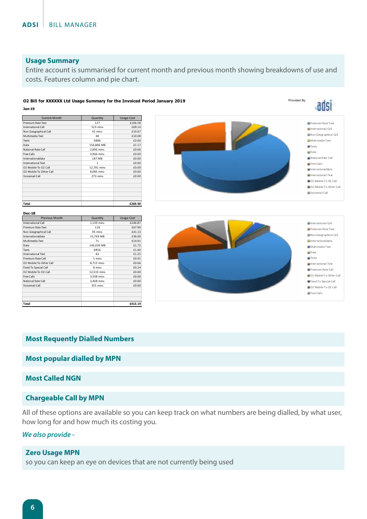#### **Usage Summary**

Entire account is summarised for current month and previous month showing breakdowns of use and costs. Features column and pie chart.

#### **O2 Bill for XXXXXX Ltd Usage Summary for the Invoiced Period January 2019**

**Jan-19**

| <b>Current Month</b>      | Quantity    | <b>Usage Cost</b> |
|---------------------------|-------------|-------------------|
| <b>Premium Rate Text</b>  | 127         | £166.58           |
| <b>International Call</b> | 523 mins    | £69.14            |
| Non Geographical Call     | 42 mins     | £19.67            |
| Multimedia Text           | 48          | £10.08            |
| Texts                     | 6886        | £2.60             |
| Data                      | 156,886 MB  | £1.17             |
| National Rate Call        | 2,896 mins  | £0.66             |
| <b>Free Calls</b>         | 3,966 mins  | £0.00             |
| Internationaldata         | 187 MB      | £0.00             |
| <b>International Text</b> | 1           | £0.00             |
| O2 Mobile To O2 Call      | 12,781 mins | £0.00             |
| O2 Mobile To Other Call   | 8,085 mins  | £0.00             |
| Voicemail Call            | 273 mins    | £0.00             |
|                           |             |                   |
|                           |             |                   |
|                           |             |                   |
| Total                     |             | £269.90           |

| <b>Previous Month</b>   | Quantity    | <b>Usage Cost</b> |
|-------------------------|-------------|-------------------|
| International Call      | 1,139 mins  | £246.87           |
| Premium Rate Text       | 118         | £67.90            |
| Non Geographical Call   | 95 mins     | £41.13            |
| Internationaldata       | 15,769 MB   | £36.00            |
| Multimedia Text         | 71          | £14.91            |
| Data                    | 146,039 MB  | £1.72             |
| Texts                   | 6856        | f1.60             |
| International Text      | 43          | £1.25             |
| Premium Rate Call       | 1 mins      | £0.91             |
| 02 Mobile To Other Call | 8,715 mins  | £0.66             |
| Fixed To Special Call   | 8 mins      | £0.24             |
| 02 Mobile To 02 Call    | 12,533 mins | £0.00             |
| Free Calls              | 3,508 mins  | f0.00             |
| National Rate Call      | 3,468 mins  | £0.00             |
| Voicemail Call          | 355 mins    | £0.00             |
|                         |             |                   |
| Total                   |             | £413.19           |



Provided By

adsi



#### **Most Requently Dialled Numbers**

#### **Most popular dialled by MPN**

#### **Most Called NGN**

#### **Chargeable Call by MPN**

All of these options are available so you can keep track on what numbers are being dialled, by what user, how long for and how much its costing you.

#### *We also provide -*

#### **Zero Usage MPN**

so you can keep an eye on devices that are not currently being used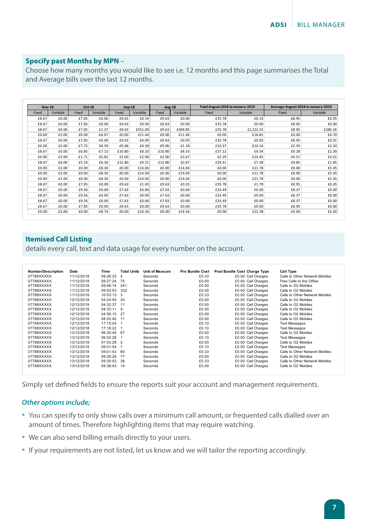#### **Specify past Months by MPN** –

Choose how many months you would like to see i.e. 12 months and this page summarises the Total and Average bills over the last 12 months.

|       | <b>Nov-18</b><br>Oct-18 |          | $Sep-18$ |        | <b>Aug-18</b> |        |          | Total: August-2018 to January-2019 |           | Average: August-2018 to January-2019 |          |
|-------|-------------------------|----------|----------|--------|---------------|--------|----------|------------------------------------|-----------|--------------------------------------|----------|
| Fixed | Variable                | Fixed    | Variable | Fixed  | Variable      | Fixed  | Variable | Fixed                              | Variable  | Fixed                                | Variable |
| £8.67 | £0.00                   | £7.85    | £0.00    | £9.63  | £0.19         | £9.63  | £0.00    | £35.78                             | £0.19     | £8.95                                | £0.05    |
| £8.67 | £0.00                   | £7.85    | £0.00    | £9.63  | £0.00         | £9.63  | £0.00    | £35.78                             | £0.00     | £8.95                                | £0.00    |
| £8.67 | £0.00                   | £7.85    | £1.37    | £9.63  | £551.00       | £9.63  | £569.85  | £35.78                             | £1,122.22 | £8.95                                | £280.56  |
| £0.00 | £2.00                   | £0.00    | $-£6.07$ | £0.00  | £11.44        | £0.00  | £11.44   | £0.00                              | £18.81    | £0.00                                | £4.70    |
| £8.67 | £0.00                   | £7.85    | £0.00    | £9.63  | £0.00         | £9.63  | £0.05    | £35.78                             | £0.05     | £8.95                                | £0.01    |
| £0.00 | £2.00                   | $-£7.75$ | £6.59    | £9.06  | £0.39         | £9.06  | £1.18    | £10.37                             | £10.16    | £2.59                                | £2.54    |
| £8.67 | £0.00                   | £6.85    | $-£7.12$ | £10.80 | £8.33         | £10.80 | £8.33    | £37.12                             | £9.54     | £9.28                                | £2.39    |
| £0.00 | £2.00                   | $-£1.71$ | £5.82    | £2.00  | £2.96         | £2.00  | £3.67    | £2.29                              | £14.45    | £0.57                                | £3.61    |
| £8.67 | £0.00                   | £5.14    | £6.30    | £12.80 | £0.21         | £12.80 | £0.87    | £39.41                             | £7.38     | £9.85                                | £1.85    |
| £0.00 | £2.00                   | £0.00    | $-E8.30$ | £0.00  | £14.04        | £0.00  | £14.04   | £0.00                              | £21.78    | £0.00                                | £5.45    |
| £0.00 | £2.00                   | £0.00    | $-E8.30$ | £0.00  | £14.04        | £0.00  | £14.04   | £0.00                              | £21.78    | £0.00                                | £5.45    |
| £0.00 | £2.00                   | £0.00    | $-E8.30$ | £0.00  | £14.04        | £0.00  | £14.04   | £0.00                              | £21.78    | £0.00                                | £5.45    |
| £8.67 | £0.00                   | £7.85    | £0.09    | £9.63  | £1.45         | £9.63  | £0.25    | £35.78                             | £1.79     | £8.95                                | £0.45    |
| £8.67 | £0.00                   | £9.56    | £0.00    | £7.63  | £0.00         | £7.63  | £0.00    | £33.49                             | £0.00     | £8.37                                | £0.00    |
| £8.67 | £0.00                   | £9.56    | £0.00    | £7.63  | £0.00         | £7.63  | £0.00    | £33.49                             | £0.00     | £8.37                                | £0.00    |
| £8.67 | £0.00                   | £9.56    | £0.00    | £7.63  | £0.00         | £7.63  | £0.00    | £33.49                             | £0.00     | £8.37                                | £0.00    |
| £8.67 | £0.00                   | £7.85    | £0.00    | £9.63  | £0.00         | £9.63  | £0.00    | £35.78                             | £0.00     | £8.95                                | £0.00    |
| £0.00 | £2.00                   | £0.00    | $-£8.74$ | £0.00  | £14.56        | £0.00  | £14.56   | £0.00                              | £22.38    | £0.00                                | £5.60    |

#### **Itemised Call Listing**

details every call, text and data usage for every number on the account.

| <b>Number/Description</b> | Date       | Time       | <b>Total Units</b> | <b>Unit of Measure</b> | <b>Pre Bundle Cost</b> | Post Bundle Cost Charge Type | <b>Call Type</b>               |
|---------------------------|------------|------------|--------------------|------------------------|------------------------|------------------------------|--------------------------------|
| 07788XXXXX                | 11/12/2018 | 09:26:25   | 4                  | Seconds                | £0.33                  | £0.00 Call Charges           | Calls to Other Network Mobiles |
| 07788XXXXX                | 11/12/2018 | 09:27:24   | 75                 | Seconds                | £0.00                  | £0.00 Call Charges           | Free Calls to the Office       |
| 07788XXXXX                | 11/12/2018 | 09:46:14   | 241                | Seconds                | £0.00                  | £0.00 Call Charges           | Calls to O2 Mobiles            |
| 07788XXXXX                | 11/12/2018 | 09:50:53   | 332                | Seconds                | £0.00                  | £0.00 Call Charges           | Calls to O2 Mobiles            |
| 07788XXXXX                | 11/12/2018 | 10:03:13   | 3                  | Seconds                | £0.33                  | £0.00 Call Charges           | Calls to Other Network Mobiles |
| 07788XXXXX                | 12/12/2018 | 04:24:55   | 20                 | Seconds                | £0.00                  | £0.00 Call Charges           | Calls to O2 Mobiles            |
| 07788XXXXX                | 12/12/2018 | 04:32:37   | 11                 | Seconds                | £0.00                  | £0.00 Call Charges           | Calls to O2 Mobiles            |
| 07788XXXXX                | 12/12/2018 | 04:33:11   | 9                  | Seconds                | £0.00                  | £0.00 Call Charges           | Calls to O2 Mobiles            |
| 07788XXXXX                | 12/12/2018 | 04:56:15   | 27                 | Seconds                | £0.00                  | £0.00 Call Charges           | Calls to O2 Mobiles            |
| 07788XXXXX                | 12/12/2018 | 08:20:40   | 11                 | Seconds                | £0.00                  | £0.00 Call Charges           | Calls to O2 Mobiles            |
| 07788XXXXX                | 12/12/2018 | 17:15:04   |                    | Seconds                | £0.10                  | £0.00 Call Charges           | <b>Text Messages</b>           |
| 07788XXXXX                | 12/12/2018 | 17:16:22   |                    | Seconds                | £0.10                  | £0.00 Call Charges           | <b>Text Messages</b>           |
| 07788XXXXX                | 13/12/2018 | 06:30:45   | 67                 | Seconds                | £0.00                  | £0.00 Call Charges           | Calls to O2 Mobiles            |
| 07788XXXXX                | 13/12/2018 | 06:52:28   |                    | Seconds                | £0.10                  | £0.00 Call Charges           | <b>Text Messages</b>           |
| 07788XXXXX                | 13/12/2018 | 07:53:29 2 |                    | Seconds                | £0.00                  | £0.00 Call Charges           | Calls to O2 Mobiles            |
| 07788XXXXX                | 13/12/2018 | 09:01:04   |                    | Seconds                | £0.10                  | £0.00 Call Charges           | <b>Text Messages</b>           |
| 07788XXXXX                | 13/12/2018 | 09:01:43   | 60                 | Seconds                | £0.33                  | £0.00 Call Charges           | Calls to Other Network Mobiles |
| 07788XXXXX                | 13/12/2018 | 09:28:29   | 77                 | Seconds                | £0.00                  | £0.00 Call Charges           | Calls to O2 Mobiles            |
| 07788XXXXX                | 13/12/2018 | 09:30:53   | 36                 | Seconds                | £0.33                  | £0.00 Call Charges           | Calls to Other Network Mobiles |
| 07788XXXXX                | 13/12/2018 | 09:38:43   | 14                 | Seconds                | £0.00                  | £0.00 Call Charges           | Calls to O2 Mobiles            |

Simply set defined fields to ensure the reports suit your account and management requirements.

#### *Other options include;*

- You can specify to only show calls over a minimum call amount, or frequented calls dialled over an amount of times. Therefore highlighting items that may require watching.
- We can also send billing emails directly to your users.
- If your requirements are not listed, let us know and we will tailor the reporting accordingly.